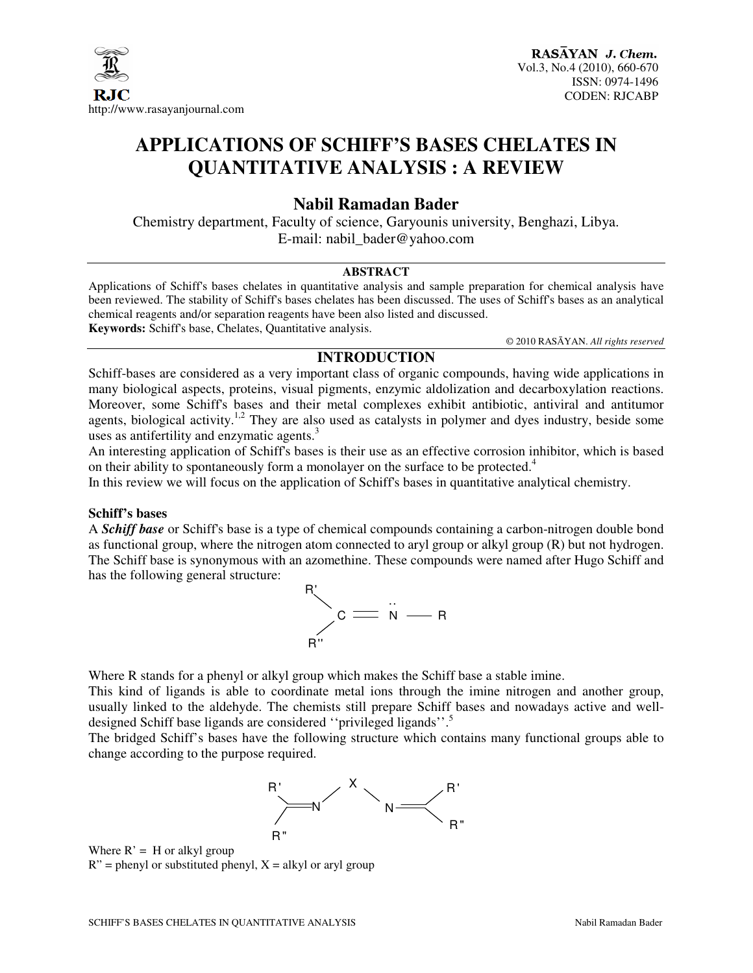

### **APPLICATIONS OF SCHIFF'S BASES CHELATES IN QUANTITATIVE ANALYSIS : A REVIEW**

### **Nabil Ramadan Bader**

Chemistry department, Faculty of science, Garyounis university, Benghazi, Libya. E-mail: nabil\_bader@yahoo.com

#### **ABSTRACT**

Applications of Schiff's bases chelates in quantitative analysis and sample preparation for chemical analysis have been reviewed. The stability of Schiff's bases chelates has been discussed. The uses of Schiff's bases as an analytical chemical reagents and/or separation reagents have been also listed and discussed. **Keywords:** Schiff's base, Chelates, Quantitative analysis.

© 2010 RASĀYAN. *All rights reserved*

#### **INTRODUCTION**

Schiff-bases are considered as a very important class of organic compounds, having wide applications in many biological aspects, proteins, visual pigments, enzymic aldolization and decarboxylation reactions. Moreover, some Schiff's bases and their metal complexes exhibit antibiotic, antiviral and antitumor agents, biological activity.<sup>1,2</sup> They are also used as catalysts in polymer and dyes industry, beside some uses as antifertility and enzymatic agents.<sup>3</sup>

An interesting application of Schiff's bases is their use as an effective corrosion inhibitor, which is based on their ability to spontaneously form a monolayer on the surface to be protected.<sup>4</sup>

In this review we will focus on the application of Schiff's bases in quantitative analytical chemistry.

#### **Schiff's bases**

A *Schiff base* or Schiff's base is a type of chemical compounds containing a carbon-nitrogen double bond as functional group, where the nitrogen atom connected to aryl group or alkyl group  $(R)$  but not hydrogen. The Schiff base is synonymous with an azomethine. These compounds were named after Hugo Schiff and has the following general structure:



Where R stands for a phenyl or alkyl group which makes the Schiff base a stable imine.

This kind of ligands is able to coordinate metal ions through the imine nitrogen and another group, usually linked to the aldehyde. The chemists still prepare Schiff bases and nowadays active and welldesigned Schiff base ligands are considered "privileged ligands".<sup>5</sup>

The bridged Schiff's bases have the following structure which contains many functional groups able to change according to the purpose required.



Where  $R' = H$  or alkyl group  $R''$  = phenyl or substituted phenyl,  $X$  = alkyl or aryl group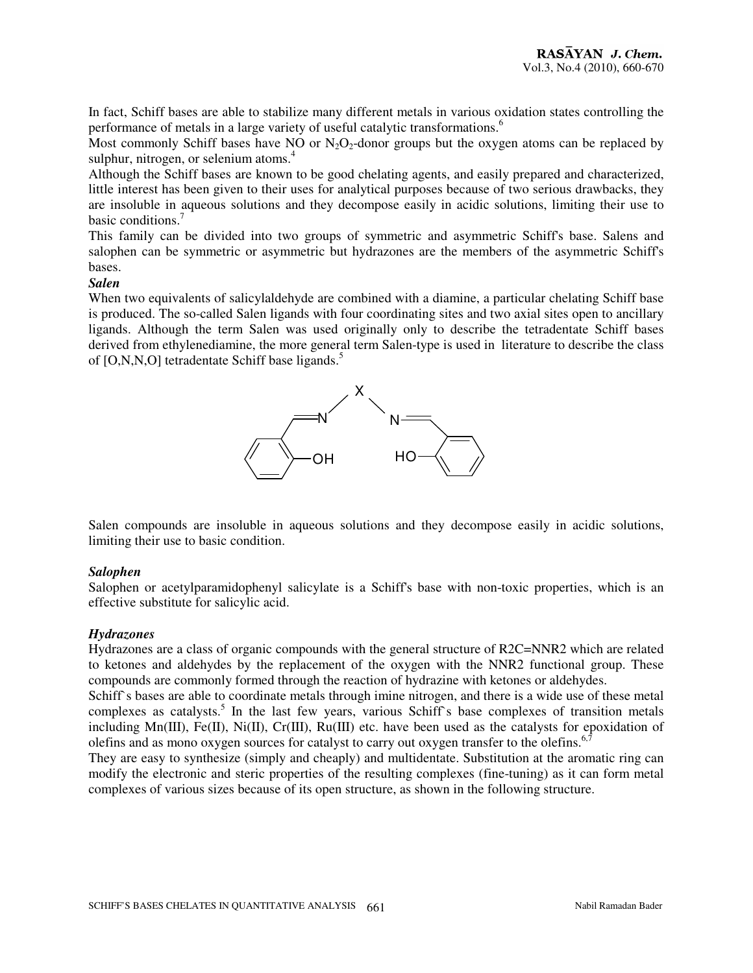In fact, Schiff bases are able to stabilize many different metals in various oxidation states controlling the performance of metals in a large variety of useful catalytic transformations.<sup>6</sup>

Most commonly Schiff bases have NO or  $N_2O_2$ -donor groups but the oxygen atoms can be replaced by sulphur, nitrogen, or selenium atoms. $4$ 

Although the Schiff bases are known to be good chelating agents, and easily prepared and characterized, little interest has been given to their uses for analytical purposes because of two serious drawbacks, they are insoluble in aqueous solutions and they decompose easily in acidic solutions, limiting their use to basic conditions.<sup>7</sup>

This family can be divided into two groups of symmetric and asymmetric Schiff's base. Salens and salophen can be symmetric or asymmetric but hydrazones are the members of the asymmetric Schiff's bases.

#### *Salen*

When two equivalents of salicylaldehyde are combined with a diamine, a particular chelating Schiff base is produced. The so-called Salen ligands with four coordinating sites and two axial sites open to ancillary ligands. Although the term Salen was used originally only to describe the tetradentate Schiff bases derived from ethylenediamine, the more general term Salen-type is used in literature to describe the class of [O,N,N,O] tetradentate Schiff base ligands.<sup>5</sup>



Salen compounds are insoluble in aqueous solutions and they decompose easily in acidic solutions, limiting their use to basic condition.

#### *Salophen*

Salophen or acetylparamidophenyl salicylate is a Schiff's base with non-toxic properties, which is an effective substitute for salicylic acid.

#### *Hydrazones*

Hydrazones are a class of organic compounds with the general structure of R2C=NNR2 which are related to ketones and aldehydes by the replacement of the oxygen with the NNR2 functional group. These compounds are commonly formed through the reaction of hydrazine with ketones or aldehydes.

Schiff's bases are able to coordinate metals through imine nitrogen, and there is a wide use of these metal complexes as catalysts.<sup>5</sup> In the last few years, various Schiff's base complexes of transition metals including Mn(III), Fe(II), Ni(II), Cr(III), Ru(III) etc. have been used as the catalysts for epoxidation of olefins and as mono oxygen sources for catalyst to carry out oxygen transfer to the olefins.<sup>6</sup>

They are easy to synthesize (simply and cheaply) and multidentate. Substitution at the aromatic ring can modify the electronic and steric properties of the resulting complexes (fine-tuning) as it can form metal complexes of various sizes because of its open structure, as shown in the following structure.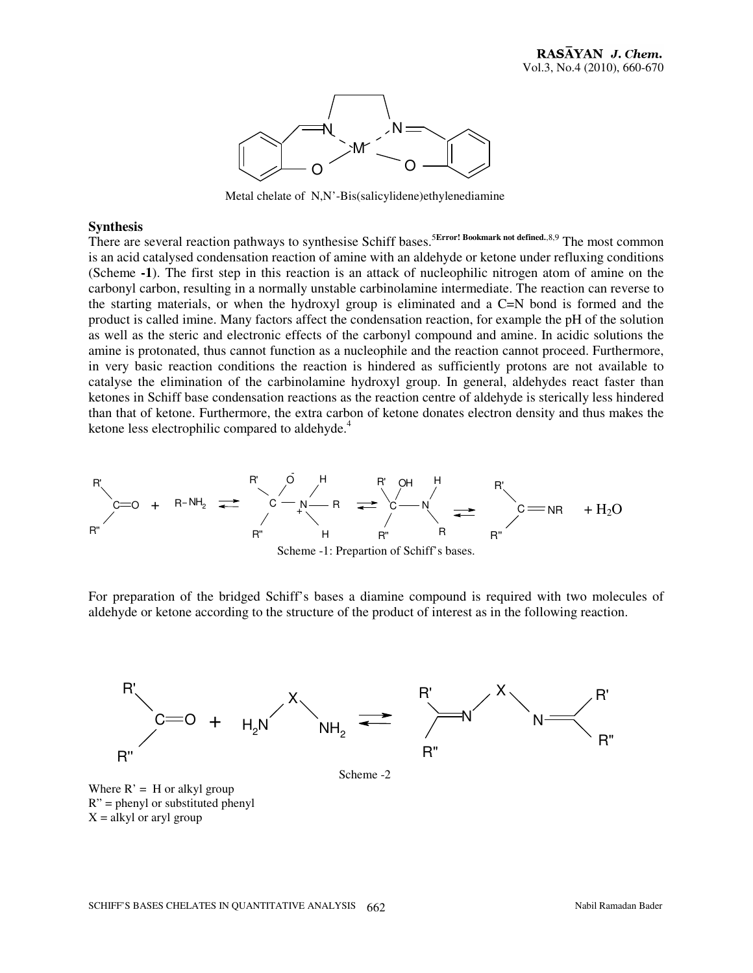

Metal chelate of N,N'-Bis(salicylidene)ethylenediamine

#### **Synthesis**

There are several reaction pathways to synthesise Schiff bases.<sup>5Error! Bookmark not defined.,8,9</sup> The most common is an acid catalysed condensation reaction of amine with an aldehyde or ketone under refluxing conditions (Scheme **-1**). The first step in this reaction is an attack of nucleophilic nitrogen atom of amine on the carbonyl carbon, resulting in a normally unstable carbinolamine intermediate. The reaction can reverse to the starting materials, or when the hydroxyl group is eliminated and a C=N bond is formed and the product is called imine. Many factors affect the condensation reaction, for example the pH of the solution as well as the steric and electronic effects of the carbonyl compound and amine. In acidic solutions the amine is protonated, thus cannot function as a nucleophile and the reaction cannot proceed. Furthermore, in very basic reaction conditions the reaction is hindered as sufficiently protons are not available to catalyse the elimination of the carbinolamine hydroxyl group. In general, aldehydes react faster than ketones in Schiff base condensation reactions as the reaction centre of aldehyde is sterically less hindered than that of ketone. Furthermore, the extra carbon of ketone donates electron density and thus makes the ketone less electrophilic compared to aldehyde.<sup>4</sup>



For preparation of the bridged Schiff's bases a diamine compound is required with two molecules of aldehyde or ketone according to the structure of the product of interest as in the following reaction.



Scheme -2

Where  $R' = H$  or alkyl group  $R''$  = phenyl or substituted phenyl  $X =$  alkyl or aryl group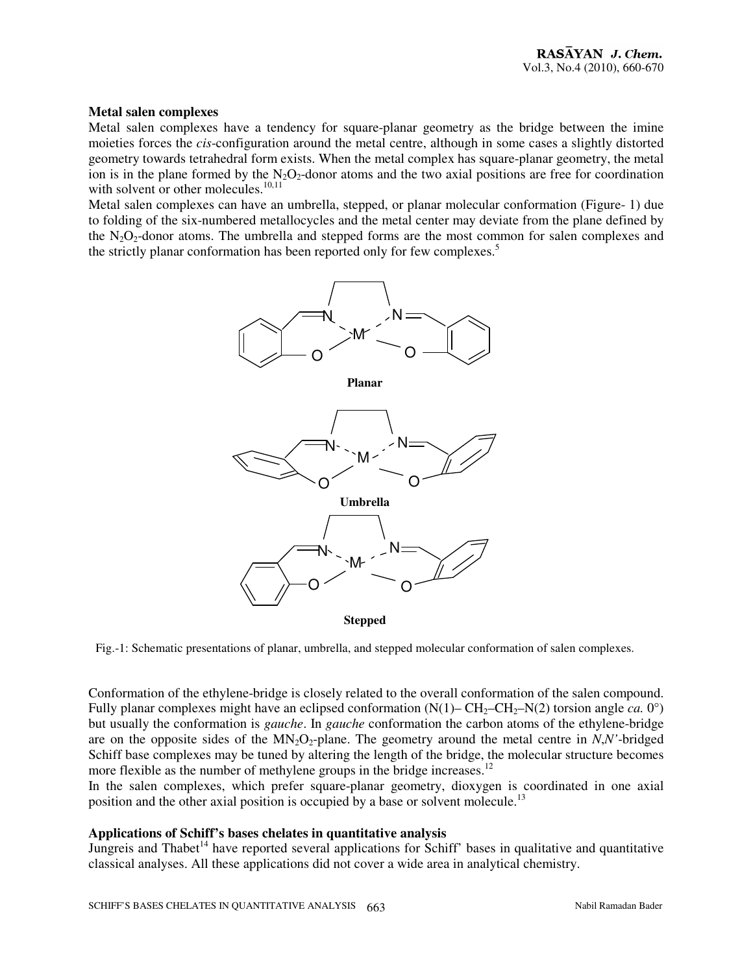#### **Metal salen complexes**

Metal salen complexes have a tendency for square-planar geometry as the bridge between the imine moieties forces the *cis*-configuration around the metal centre, although in some cases a slightly distorted geometry towards tetrahedral form exists. When the metal complex has square-planar geometry, the metal ion is in the plane formed by the  $N_2O_2$ -donor atoms and the two axial positions are free for coordination with solvent or other molecules. $^{10,11}$ 

Metal salen complexes can have an umbrella, stepped, or planar molecular conformation (Figure- 1) due to folding of the six-numbered metallocycles and the metal center may deviate from the plane defined by the  $N_2O_2$ -donor atoms. The umbrella and stepped forms are the most common for salen complexes and the strictly planar conformation has been reported only for few complexes.<sup>5</sup>



Fig.-1: Schematic presentations of planar, umbrella, and stepped molecular conformation of salen complexes.

Conformation of the ethylene-bridge is closely related to the overall conformation of the salen compound. Fully planar complexes might have an eclipsed conformation  $(N(1) – CH_2–CH_2-N(2)$  torsion angle *ca*. 0°) but usually the conformation is *gauche*. In *gauche* conformation the carbon atoms of the ethylene-bridge are on the opposite sides of the  $MN_2O_2$ -plane. The geometry around the metal centre in *N*,*N'*-bridged Schiff base complexes may be tuned by altering the length of the bridge, the molecular structure becomes more flexible as the number of methylene groups in the bridge increases.<sup>12</sup>

In the salen complexes, which prefer square-planar geometry, dioxygen is coordinated in one axial position and the other axial position is occupied by a base or solvent molecule.<sup>13</sup>

#### **Applications of Schiff's bases chelates in quantitative analysis**

Jungreis and Thabet<sup>14</sup> have reported several applications for Schiff' bases in qualitative and quantitative classical analyses. All these applications did not cover a wide area in analytical chemistry.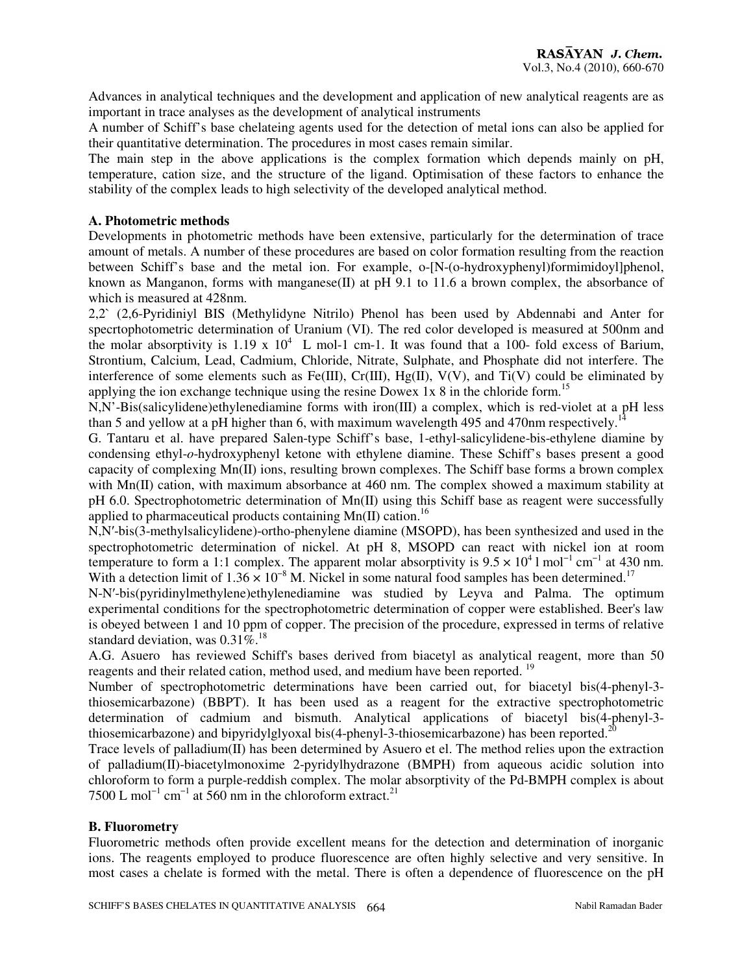Advances in analytical techniques and the development and application of new analytical reagents are as important in trace analyses as the development of analytical instruments

A number of Schiff's base chelateing agents used for the detection of metal ions can also be applied for their quantitative determination. The procedures in most cases remain similar.

The main step in the above applications is the complex formation which depends mainly on pH, temperature, cation size, and the structure of the ligand. Optimisation of these factors to enhance the stability of the complex leads to high selectivity of the developed analytical method.

#### **A. Photometric methods**

Developments in photometric methods have been extensive, particularly for the determination of trace amount of metals. A number of these procedures are based on color formation resulting from the reaction between Schiff's base and the metal ion. For example, o-[N-(o-hydroxyphenyl)formimidoyl]phenol, known as Manganon, forms with manganese $(II)$  at pH 9.1 to 11.6 a brown complex, the absorbance of which is measured at 428nm.

2,2` (2,6-Pyridiniyl BIS (Methylidyne Nitrilo) Phenol has been used by Abdennabi and Anter for specrtophotometric determination of Uranium (VI). The red color developed is measured at 500nm and the molar absorptivity is 1.19 x  $10^4$  L mol-1 cm-1. It was found that a 100- fold excess of Barium, Strontium, Calcium, Lead, Cadmium, Chloride, Nitrate, Sulphate, and Phosphate did not interfere. The interference of some elements such as Fe(III),  $Cr(III)$ ,  $Hg(II)$ ,  $V(V)$ , and  $Ti(V)$  could be eliminated by applying the ion exchange technique using the resine Dowex 1x  $8$  in the chloride form.<sup>15</sup>

N,N'-Bis(salicylidene)ethylenediamine forms with iron(III) a complex, which is red-violet at a pH less than 5 and yellow at a pH higher than 6, with maximum wavelength 495 and 470nm respectively.<sup>1</sup>

G. Tantaru et al. have prepared Salen-type Schiff's base, 1-ethyl-salicylidene-bis-ethylene diamine by condensing ethyl-*o*-hydroxyphenyl ketone with ethylene diamine. These Schiff's bases present a good capacity of complexing  $Mn(\Pi)$  ions, resulting brown complexes. The Schiff base forms a brown complex with Mn(II) cation, with maximum absorbance at 460 nm. The complex showed a maximum stability at pH 6.0. Spectrophotometric determination of Mn(II) using this Schiff base as reagent were successfully applied to pharmaceutical products containing  $Mn(II)$  cation.<sup>16</sup>

N,N′-bis(3-methylsalicylidene)-ortho-phenylene diamine (MSOPD), has been synthesized and used in the spectrophotometric determination of nickel. At pH 8, MSOPD can react with nickel ion at room temperature to form a 1:1 complex. The apparent molar absorptivity is  $9.5 \times 10^4$  l mol<sup>-1</sup> cm<sup>-1</sup> at 430 nm. With a detection limit of  $1.36 \times 10^{-8}$  M. Nickel in some natural food samples has been determined.<sup>17</sup>

N-N′-bis(pyridinylmethylene)ethylenediamine was studied by Leyva and Palma. The optimum experimental conditions for the spectrophotometric determination of copper were established. Beer's law is obeyed between 1 and 10 ppm of copper. The precision of the procedure, expressed in terms of relative standard deviation, was  $0.31\%$ .<sup>18</sup>

A.G. Asuero has reviewed Schiff's bases derived from biacetyl as analytical reagent, more than 50 reagents and their related cation, method used, and medium have been reported. <sup>19</sup>

Number of spectrophotometric determinations have been carried out, for biacetyl bis(4-phenyl-3 thiosemicarbazone) (BBPT). It has been used as a reagent for the extractive spectrophotometric determination of cadmium and bismuth. Analytical applications of biacetyl bis(4-phenyl-3 thiosemicarbazone) and bipyridylglyoxal bis(4-phenyl-3-thiosemicarbazone) has been reported.<sup>21</sup>

Trace levels of palladium(II) has been determined by Asuero et el. The method relies upon the extraction of palladium(II)-biacetylmonoxime 2-pyridylhydrazone (BMPH) from aqueous acidic solution into chloroform to form a purple-reddish complex. The molar absorptivity of the Pd-BMPH complex is about 7500 L mol<sup>-1</sup> cm<sup>-1</sup> at 560 nm in the chloroform extract.<sup>21</sup>

#### **B. Fluorometry**

Fluorometric methods often provide excellent means for the detection and determination of inorganic ions. The reagents employed to produce fluorescence are often highly selective and very sensitive. In most cases a chelate is formed with the metal. There is often a dependence of fluorescence on the pH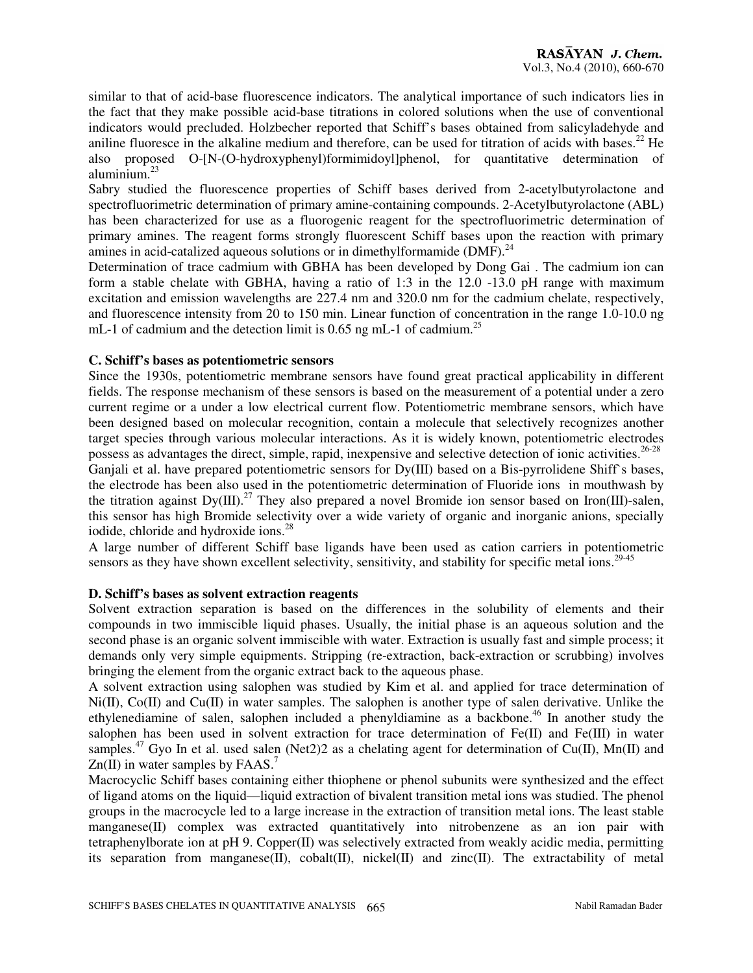similar to that of acid-base fluorescence indicators. The analytical importance of such indicators lies in the fact that they make possible acid-base titrations in colored solutions when the use of conventional indicators would precluded. Holzbecher reported that Schiff's bases obtained from salicyladehyde and aniline fluoresce in the alkaline medium and therefore, can be used for titration of acids with bases.<sup>22</sup> He also proposed O-[N-(O-hydroxyphenyl)formimidoyl]phenol, for quantitative determination of aluminium.<sup>23</sup>

Sabry studied the fluorescence properties of Schiff bases derived from 2-acetylbutyrolactone and spectrofluorimetric determination of primary amine-containing compounds. 2-Acetylbutyrolactone (ABL) has been characterized for use as a fluorogenic reagent for the spectrofluorimetric determination of primary amines. The reagent forms strongly fluorescent Schiff bases upon the reaction with primary amines in acid-catalized aqueous solutions or in dimethylformamide ( $\text{DMF}$ ).<sup>24</sup>

Determination of trace cadmium with GBHA has been developed by Dong Gai . The cadmium ion can form a stable chelate with GBHA, having a ratio of 1:3 in the 12.0 -13.0 pH range with maximum excitation and emission wavelengths are 227.4 nm and 320.0 nm for the cadmium chelate, respectively, and fluorescence intensity from 20 to 150 min. Linear function of concentration in the range 1.0-10.0 ng mL-1 of cadmium and the detection limit is 0.65 ng mL-1 of cadmium.<sup>25</sup>

#### **C. Schiff's bases as potentiometric sensors**

Since the 1930s, potentiometric membrane sensors have found great practical applicability in different fields. The response mechanism of these sensors is based on the measurement of a potential under a zero current regime or a under a low electrical current flow. Potentiometric membrane sensors, which have been designed based on molecular recognition, contain a molecule that selectively recognizes another target species through various molecular interactions. As it is widely known, potentiometric electrodes possess as advantages the direct, simple, rapid, inexpensive and selective detection of ionic activities.<sup>26-28</sup>

Ganjali et al. have prepared potentiometric sensors for  $Dy(III)$  based on a Bis-pyrrolidene Shiff's bases, the electrode has been also used in the potentiometric determination of Fluoride ions in mouthwash by the titration against  $Dy(III)$ .<sup>27</sup> They also prepared a novel Bromide ion sensor based on Iron(III)-salen, this sensor has high Bromide selectivity over a wide variety of organic and inorganic anions, specially iodide, chloride and hydroxide ions.<sup>28</sup>

A large number of different Schiff base ligands have been used as cation carriers in potentiometric sensors as they have shown excellent selectivity, sensitivity, and stability for specific metal ions.<sup>29-45</sup>

#### **D. Schiff's bases as solvent extraction reagents**

Solvent extraction separation is based on the differences in the solubility of elements and their compounds in two immiscible liquid phases. Usually, the initial phase is an aqueous solution and the second phase is an organic solvent immiscible with water. Extraction is usually fast and simple process; it demands only very simple equipments. Stripping (re-extraction, back-extraction or scrubbing) involves bringing the element from the organic extract back to the aqueous phase.

A solvent extraction using salophen was studied by Kim et al. and applied for trace determination of Ni(II), Co(II) and Cu(II) in water samples. The salophen is another type of salen derivative. Unlike the ethylenediamine of salen, salophen included a phenyldiamine as a backbone.<sup>46</sup> In another study the salophen has been used in solvent extraction for trace determination of Fe(II) and Fe(III) in water samples.<sup>47</sup> Gyo In et al. used salen (Net2)2 as a chelating agent for determination of Cu(II), Mn(II) and  $Zn(II)$  in water samples by FAAS.<sup>7</sup>

Macrocyclic Schiff bases containing either thiophene or phenol subunits were synthesized and the effect of ligand atoms on the liquid—liquid extraction of bivalent transition metal ions was studied. The phenol groups in the macrocycle led to a large increase in the extraction of transition metal ions. The least stable manganese(II) complex was extracted quantitatively into nitrobenzene as an ion pair with tetraphenylborate ion at pH 9. Copper(II) was selectively extracted from weakly acidic media, permitting its separation from manganese(II), cobalt(II), nickel(II) and zinc(II). The extractability of metal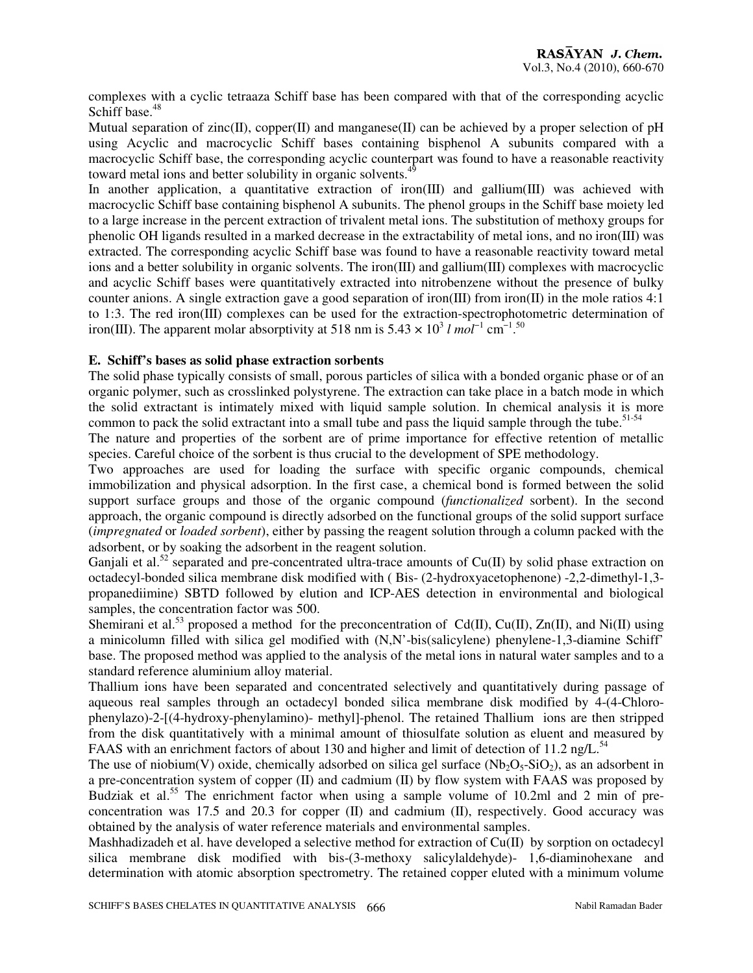complexes with a cyclic tetraaza Schiff base has been compared with that of the corresponding acyclic Schiff base.<sup>48</sup>

Mutual separation of zinc(II), copper(II) and manganese(II) can be achieved by a proper selection of pH using Acyclic and macrocyclic Schiff bases containing bisphenol A subunits compared with a macrocyclic Schiff base, the corresponding acyclic counterpart was found to have a reasonable reactivity toward metal ions and better solubility in organic solvents.<sup>49</sup>

In another application, a quantitative extraction of iron(III) and gallium(III) was achieved with macrocyclic Schiff base containing bisphenol A subunits. The phenol groups in the Schiff base moiety led to a large increase in the percent extraction of trivalent metal ions. The substitution of methoxy groups for phenolic OH ligands resulted in a marked decrease in the extractability of metal ions, and no iron(III) was extracted. The corresponding acyclic Schiff base was found to have a reasonable reactivity toward metal ions and a better solubility in organic solvents. The iron(III) and gallium(III) complexes with macrocyclic and acyclic Schiff bases were quantitatively extracted into nitrobenzene without the presence of bulky counter anions. A single extraction gave a good separation of iron(III) from iron(II) in the mole ratios 4:1 to 1:3. The red iron(III) complexes can be used for the extraction-spectrophotometric determination of iron(III). The apparent molar absorptivity at 518 nm is  $5.43 \times 10^3$  *l*  $mol^{-1}$  cm<sup>-1.50</sup>

#### **E. Schiff's bases as solid phase extraction sorbents**

The solid phase typically consists of small, porous particles of silica with a bonded organic phase or of an organic polymer, such as crosslinked polystyrene. The extraction can take place in a batch mode in which the solid extractant is intimately mixed with liquid sample solution. In chemical analysis it is more common to pack the solid extractant into a small tube and pass the liquid sample through the tube.<sup>51-54</sup>

The nature and properties of the sorbent are of prime importance for effective retention of metallic species. Careful choice of the sorbent is thus crucial to the development of SPE methodology.

Two approaches are used for loading the surface with specific organic compounds, chemical immobilization and physical adsorption. In the first case, a chemical bond is formed between the solid support surface groups and those of the organic compound (*functionalized* sorbent). In the second approach, the organic compound is directly adsorbed on the functional groups of the solid support surface (*impregnated* or *loaded sorbent*), either by passing the reagent solution through a column packed with the adsorbent, or by soaking the adsorbent in the reagent solution.

Ganjali et al.<sup>52</sup> separated and pre-concentrated ultra-trace amounts of  $Cu(II)$  by solid phase extraction on octadecyl-bonded silica membrane disk modified with ( Bis- (2-hydroxyacetophenone) -2,2-dimethyl-1,3 propanediimine) SBTD followed by elution and ICP-AES detection in environmental and biological samples, the concentration factor was 500.

Shemirani et al.<sup>53</sup> proposed a method for the preconcentration of Cd(II), Cu(II), Zn(II), and Ni(II) using a minicolumn filled with silica gel modified with (N,N'-bis(salicylene) phenylene-1,3-diamine Schiff' base. The proposed method was applied to the analysis of the metal ions in natural water samples and to a standard reference aluminium alloy material.

Thallium ions have been separated and concentrated selectively and quantitatively during passage of aqueous real samples through an octadecyl bonded silica membrane disk modified by 4-(4-Chlorophenylazo)-2-[(4-hydroxy-phenylamino)- methyl]-phenol. The retained Thallium ions are then stripped from the disk quantitatively with a minimal amount of thiosulfate solution as eluent and measured by FAAS with an enrichment factors of about 130 and higher and limit of detection of 11.2 ng/L.<sup>54</sup>

The use of niobium(V) oxide, chemically adsorbed on silica gel surface  $(Nb_2O_5-SiO_2)$ , as an adsorbent in a pre-concentration system of copper (II) and cadmium (II) by flow system with FAAS was proposed by Budziak et al.<sup>55</sup> The enrichment factor when using a sample volume of 10.2ml and 2 min of preconcentration was 17.5 and 20.3 for copper (II) and cadmium (II), respectively. Good accuracy was obtained by the analysis of water reference materials and environmental samples.

Mashhadizadeh et al. have developed a selective method for extraction of Cu(II) by sorption on octadecyl silica membrane disk modified with bis-(3-methoxy salicylaldehyde)- 1,6-diaminohexane and determination with atomic absorption spectrometry. The retained copper eluted with a minimum volume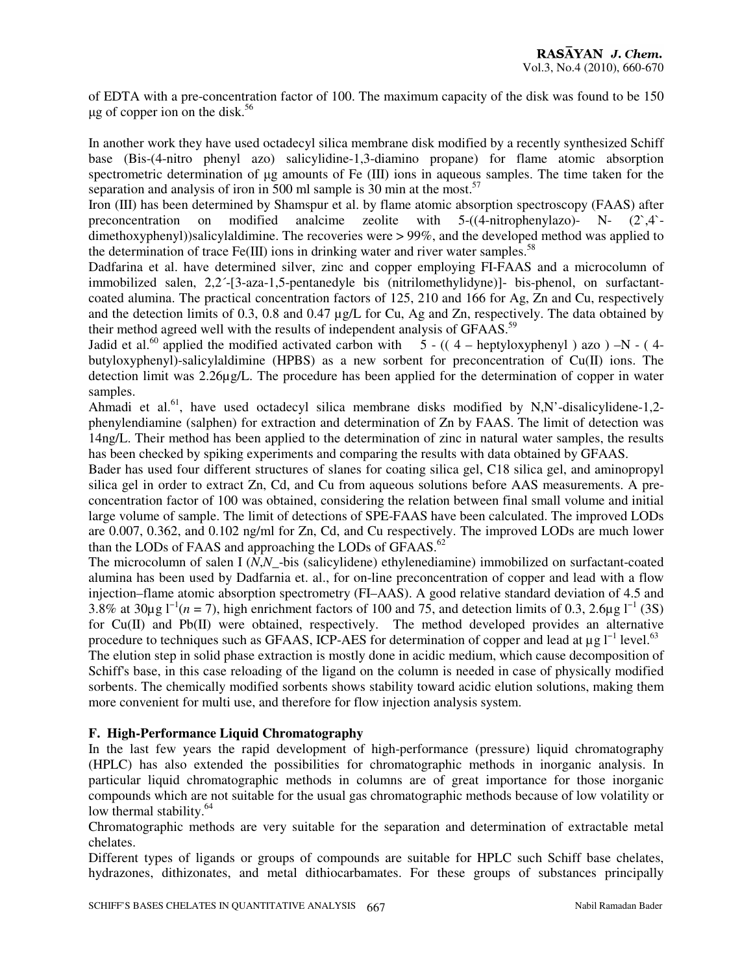of EDTA with a pre-concentration factor of 100. The maximum capacity of the disk was found to be 150  $\mu$ g of copper ion on the disk.<sup>56</sup>

In another work they have used octadecyl silica membrane disk modified by a recently synthesized Schiff base (Bis-(4-nitro phenyl azo) salicylidine-1,3-diamino propane) for flame atomic absorption spectrometric determination of  $\mu$ g amounts of Fe (III) ions in aqueous samples. The time taken for the separation and analysis of iron in 500 ml sample is 30 min at the most.<sup>57</sup>

Iron (III) has been determined by Shamspur et al. by flame atomic absorption spectroscopy (FAAS) after preconcentration on modified analcime zeolite with 5-((4-nitrophenylazo)- N- (2`,4` dimethoxyphenyl))salicylaldimine. The recoveries were > 99%, and the developed method was applied to the determination of trace  $Fe(III)$  ions in drinking water and river water samples.<sup>58</sup>

Dadfarina et al. have determined silver, zinc and copper employing FI-FAAS and a microcolumn of immobilized salen, 2,2´-[3-aza-1,5-pentanedyle bis (nitrilomethylidyne)]- bis-phenol, on surfactantcoated alumina. The practical concentration factors of 125, 210 and 166 for Ag, Zn and Cu, respectively and the detection limits of 0.3, 0.8 and 0.47 µg/L for Cu, Ag and Zn, respectively. The data obtained by their method agreed well with the results of independent analysis of GFAAS.<sup>59</sup>

Jadid et al.<sup>60</sup> applied the modified activated carbon with  $5 - ((4 - \text{heptyloxyphenyl})$  azo  $)-N - (4$ butyloxyphenyl)-salicylaldimine (HPBS) as a new sorbent for preconcentration of Cu(II) ions. The detection limit was 2.26µg/L. The procedure has been applied for the determination of copper in water samples.

Ahmadi et al.<sup>61</sup>, have used octadecyl silica membrane disks modified by N,N'-disalicylidene-1,2phenylendiamine (salphen) for extraction and determination of Zn by FAAS. The limit of detection was 14ng/L. Their method has been applied to the determination of zinc in natural water samples, the results has been checked by spiking experiments and comparing the results with data obtained by GFAAS.

Bader has used four different structures of slanes for coating silica gel, C18 silica gel, and aminopropyl silica gel in order to extract Zn, Cd, and Cu from aqueous solutions before AAS measurements. A preconcentration factor of 100 was obtained, considering the relation between final small volume and initial large volume of sample. The limit of detections of SPE-FAAS have been calculated. The improved LODs are 0.007, 0.362, and 0.102 ng/ml for Zn, Cd, and Cu respectively. The improved LODs are much lower than the LODs of FAAS and approaching the LODs of GFAAS. $^{62}$ 

The microcolumn of salen I (*N*,*N*\_-bis (salicylidene) ethylenediamine) immobilized on surfactant-coated alumina has been used by Dadfarnia et. al., for on-line preconcentration of copper and lead with a flow injection–flame atomic absorption spectrometry (FI–AAS). A good relative standard deviation of 4.5 and 3.8% at 30µg  $1^{-1}(n = 7)$ , high enrichment factors of 100 and 75, and detection limits of 0.3, 2.6µg  $1^{-1}$  (3S) for Cu(II) and Pb(II) were obtained, respectively. The method developed provides an alternative procedure to techniques such as GFAAS, ICP-AES for determination of copper and lead at  $\mu$ g l<sup>−1</sup> level.<sup>63</sup>

The elution step in solid phase extraction is mostly done in acidic medium, which cause decomposition of Schiff's base, in this case reloading of the ligand on the column is needed in case of physically modified sorbents. The chemically modified sorbents shows stability toward acidic elution solutions, making them more convenient for multi use, and therefore for flow injection analysis system.

#### **F. High-Performance Liquid Chromatography**

In the last few years the rapid development of high-performance (pressure) liquid chromatography (HPLC) has also extended the possibilities for chromatographic methods in inorganic analysis. In particular liquid chromatographic methods in columns are of great importance for those inorganic compounds which are not suitable for the usual gas chromatographic methods because of low volatility or low thermal stability.<sup>64</sup>

Chromatographic methods are very suitable for the separation and determination of extractable metal chelates.

Different types of ligands or groups of compounds are suitable for HPLC such Schiff base chelates, hydrazones, dithizonates, and metal dithiocarbamates. For these groups of substances principally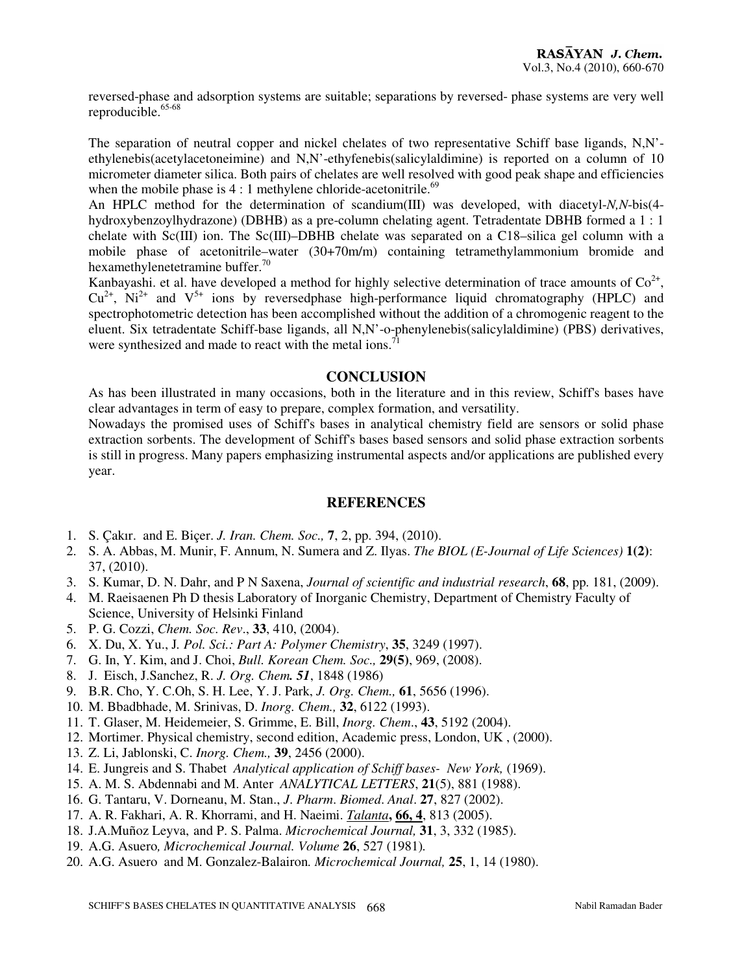reversed-phase and adsorption systems are suitable; separations by reversed- phase systems are very well reproducible.<sup>65-68</sup>

The separation of neutral copper and nickel chelates of two representative Schiff base ligands, N,N' ethylenebis(acetylacetoneimine) and N,N'-ethyfenebis(salicylaldimine) is reported on a column of 10 micrometer diameter silica. Both pairs of chelates are well resolved with good peak shape and efficiencies when the mobile phase is  $4:1$  methylene chloride-acetonitrile.<sup>69</sup>

An HPLC method for the determination of scandium(III) was developed, with diacetyl-*N,N*-bis(4 hydroxybenzoylhydrazone) (DBHB) as a pre-column chelating agent. Tetradentate DBHB formed a 1 : 1 chelate with Sc(III) ion. The Sc(III)–DBHB chelate was separated on a C18–silica gel column with a mobile phase of acetonitrile–water (30+70m/m) containing tetramethylammonium bromide and hexamethylenetetramine buffer.<sup>70</sup>

Kanbayashi. et al. have developed a method for highly selective determination of trace amounts of  $Co^{2+}$ ,  $Cu<sup>2+</sup>$ , Ni<sup>2+</sup> and V<sup>5+</sup> ions by reversedphase high-performance liquid chromatography (HPLC) and spectrophotometric detection has been accomplished without the addition of a chromogenic reagent to the eluent. Six tetradentate Schiff-base ligands, all N,N'-o-phenylenebis(salicylaldimine) (PBS) derivatives, were synthesized and made to react with the metal ions.<sup>7</sup>

#### **CONCLUSION**

As has been illustrated in many occasions, both in the literature and in this review, Schiff's bases have clear advantages in term of easy to prepare, complex formation, and versatility.

Nowadays the promised uses of Schiff's bases in analytical chemistry field are sensors or solid phase extraction sorbents. The development of Schiff's bases based sensors and solid phase extraction sorbents is still in progress. Many papers emphasizing instrumental aspects and/or applications are published every year.

### **REFERENCES**

- 1. S. Çakır. and E. Biçer. *J. Iran. Chem. Soc.,* **7**, 2, pp. 394, (2010).
- 2. S. A. Abbas, M. Munir, F. Annum, N. Sumera and Z. Ilyas. *The BIOL (E-Journal of Life Sciences)* **1(2)**: 37, (2010).
- 3. S. Kumar, D. N. Dahr, and P N Saxena, *Journal of scientific and industrial research*, **68**, pp. 181, (2009).
- 4. M. Raeisaenen Ph D thesis Laboratory of Inorganic Chemistry, Department of Chemistry Faculty of Science, University of Helsinki Finland
- 5. P. G. Cozzi, *Chem. Soc. Rev*., **33**, 410, (2004).
- 6. X. Du, X. Yu., J*. Pol. Sci.: Part A: Polymer Chemistry*, **35**, 3249 (1997).
- 7. G. In, Y. Kim, and J. Choi, *Bull. Korean Chem. Soc.,* **29(5)**, 969, (2008).
- 8. J. Eisch, J.Sanchez, R. *J. Org. Chem. 51*, 1848 (1986)
- 9. B.R. Cho, Y. C.Oh, S. H. Lee, Y. J. Park, *J. Org. Chem.,* **61**, 5656 (1996).
- 10. M. Bbadbhade, M. Srinivas, D. *Inorg. Chem.,* **32**, 6122 (1993).
- 11. T. Glaser, M. Heidemeier, S. Grimme, E. Bill, *Inorg. Chem*., **43**, 5192 (2004).
- 12. Mortimer. Physical chemistry, second edition, Academic press, London, UK , (2000).
- 13. Z. Li, Jablonski, C. *Inorg. Chem.,* **39**, 2456 (2000).
- 14. E. Jungreis and S. Thabet *Analytical application of Schiff bases- New York,* (1969).
- 15. A. M. S. Abdennabi and M. Anter *ANALYTICAL LETTERS*, **21**(5), 881 (1988).
- 16. G. Tantaru, V. Dorneanu, M. Stan., *J*. *Pharm*. *Biomed*. *Anal*. **27**, 827 (2002).
- 17. A. R. Fakhari, A. R. Khorrami, and H. Naeimi. *Talanta***, 66, 4**, 813 (2005).
- 18. J.A.Muñoz Leyva, and P. S. Palma. *Microchemical Journal,* **31**, 3, 332 (1985).
- 19. A.G. Asuero*, Microchemical Journal. Volume* **26**, 527 (1981)*.*
- 20. A.G. Asuero and M. Gonzalez-Balairon*. Microchemical Journal,* **25**, 1, 14 (1980).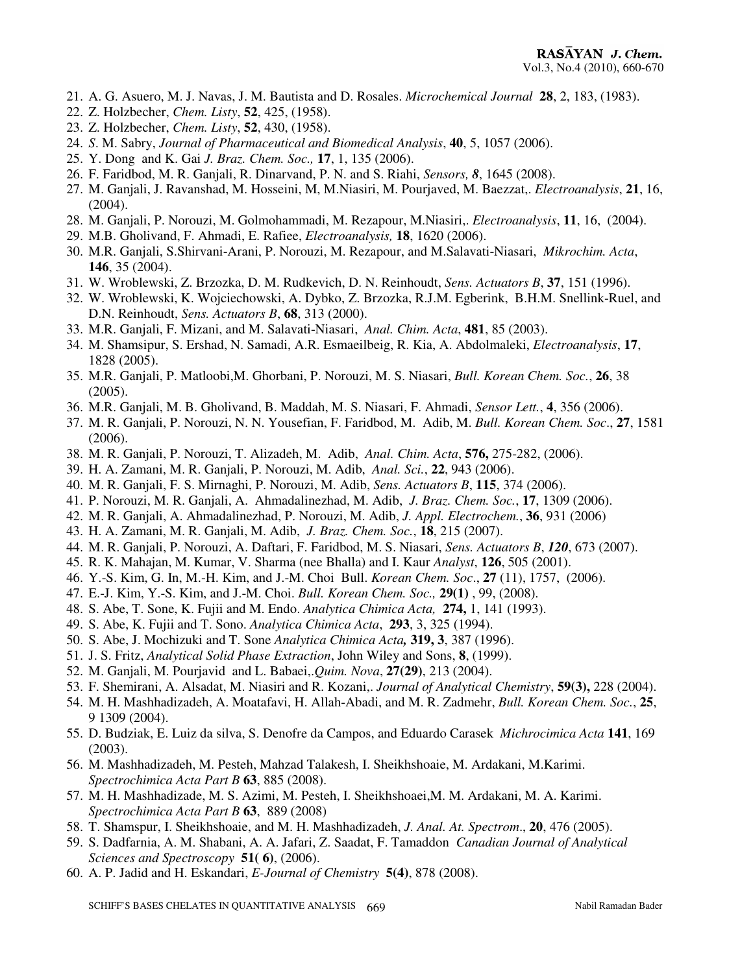- 21. A. G. Asuero, M. J. Navas, J. M. Bautista and D. Rosales. *Microchemical Journal* **28**, 2, 183, (1983).
- 22. Z. Holzbecher, *Chem. Listy*, **52**, 425, (1958).
- 23. Z. Holzbecher, *Chem. Listy*, **52**, 430, (1958).
- 24. *S*. M. Sabry, *Journal of Pharmaceutical and Biomedical Analysis*, **40**, 5, 1057 (2006).
- 25. Y. Dong and K. Gai *J. Braz. Chem. Soc.,* **17**, 1, 135 (2006).
- 26. F. Faridbod, M. R. Ganjali, R. Dinarvand, P. N. and S. Riahi, *Sensors, 8*, 1645 (2008).
- 27. M. Ganjali, J. Ravanshad, M. Hosseini, M, M.Niasiri, M. Pourjaved, M. Baezzat,. *Electroanalysis*, **21**, 16, (2004).
- 28. M. Ganjali, P. Norouzi, M. Golmohammadi, M. Rezapour, M.Niasiri,. *Electroanalysis*, **11**, 16, (2004).
- 29. M.B. Gholivand, F. Ahmadi, E. Rafiee, *Electroanalysis,* **18**, 1620 (2006).
- 30. M.R. Ganjali, S.Shirvani-Arani, P. Norouzi, M. Rezapour, and M.Salavati-Niasari, *Mikrochim. Acta*, **146**, 35 (2004).
- 31. W. Wroblewski, Z. Brzozka, D. M. Rudkevich, D. N. Reinhoudt, *Sens. Actuators B*, **37**, 151 (1996).
- 32. W. Wroblewski, K. Wojciechowski, A. Dybko, Z. Brzozka, R.J.M. Egberink, B.H.M. Snellink-Ruel, and D.N. Reinhoudt, *Sens. Actuators B*, **68**, 313 (2000).
- 33. M.R. Ganjali, F. Mizani, and M. Salavati-Niasari, *Anal. Chim. Acta*, **481**, 85 (2003).
- 34. M. Shamsipur, S. Ershad, N. Samadi, A.R. Esmaeilbeig, R. Kia, A. Abdolmaleki, *Electroanalysis*, **17**, 1828 (2005).
- 35. M.R. Ganjali, P. Matloobi,M. Ghorbani, P. Norouzi, M. S. Niasari, *Bull. Korean Chem. Soc.*, **26**, 38 (2005).
- 36. M.R. Ganjali, M. B. Gholivand, B. Maddah, M. S. Niasari, F. Ahmadi, *Sensor Lett.*, **4**, 356 (2006).
- 37. M. R. Ganjali, P. Norouzi, N. N. Yousefian, F. Faridbod, M. Adib, M. *Bull. Korean Chem. Soc*., **27**, 1581 (2006).
- 38. M. R. Ganjali, P. Norouzi, T. Alizadeh, M. Adib, *Anal. Chim. Acta*, **576,** 275-282, (2006).
- 39. H. A. Zamani, M. R. Ganjali, P. Norouzi, M. Adib, *Anal. Sci.*, **22**, 943 (2006).
- 40. M. R. Ganjali, F. S. Mirnaghi, P. Norouzi, M. Adib, *Sens. Actuators B*, **115**, 374 (2006).
- 41. P. Norouzi, M. R. Ganjali, A. Ahmadalinezhad, M. Adib, *J. Braz. Chem. Soc.*, **17**, 1309 (2006).
- 42. M. R. Ganjali, A. Ahmadalinezhad, P. Norouzi, M. Adib, *J. Appl. Electrochem.*, **36**, 931 (2006)
- 43. H. A. Zamani, M. R. Ganjali, M. Adib, *J. Braz. Chem. Soc.*, **18**, 215 (2007).
- 44. M. R. Ganjali, P. Norouzi, A. Daftari, F. Faridbod, M. S. Niasari, *Sens. Actuators B*, *120*, 673 (2007).
- 45. R. K. Mahajan, M. Kumar, V. Sharma (nee Bhalla) and I. Kaur *Analyst*, **126**, 505 (2001).
- 46. Y.-S. Kim, G. In, M.-H. Kim, and J.-M. Choi Bull. *Korean Chem. Soc*., **27** (11), 1757, (2006).
- 47. E.-J. Kim, Y.-S. Kim, and J.-M. Choi. *Bull. Korean Chem. Soc.,* **29(1)** , 99, (2008).
- 48. S. Abe, T. Sone, K. Fujii and M. Endo. *Analytica Chimica Acta,* **274,** 1, 141 (1993).
- 49. S. Abe, K. Fujii and T. Sono. *Analytica Chimica Acta*, **293**, 3, 325 (1994).
- 50. S. Abe, J. Mochizuki and T. Sone *Analytica Chimica Acta,* **319, 3**, 387 (1996).
- 51. J. S. Fritz, *Analytical Solid Phase Extraction*, John Wiley and Sons, **8**, (1999).
- 52. M. Ganjali, M. Pourjavid and L. Babaei,.*Quim. Nova*, **27(29)**, 213 (2004).
- 53. F. Shemirani, A. Alsadat, M. Niasiri and R. Kozani,. *Journal of Analytical Chemistry*, **59(3),** 228 (2004).
- 54. M. H. Mashhadizadeh, A. Moatafavi, H. Allah-Abadi, and M. R. Zadmehr, *Bull. Korean Chem. Soc.*, **25**, 9 1309 (2004).
- 55. D. Budziak, E. Luiz da silva, S. Denofre da Campos, and Eduardo Carasek *Michrocimica Acta* **141**, 169 (2003).
- 56. M. Mashhadizadeh, M. Pesteh, Mahzad Talakesh, I. Sheikhshoaie, M. Ardakani, M.Karimi. *Spectrochimica Acta Part B* **63**, 885 (2008).
- 57. M. H. Mashhadizade, M. S. Azimi, M. Pesteh, I. Sheikhshoaei,M. M. Ardakani, M. A. Karimi. *Spectrochimica Acta Part B* **63**, 889 (2008)
- 58. T. Shamspur, I. Sheikhshoaie, and M. H. Mashhadizadeh, *J. Anal. At. Spectrom*., **20**, 476 (2005).
- 59. S. Dadfarnia, A. M. Shabani, A. A. Jafari, Z. Saadat, F. Tamaddon *Canadian Journal of Analytical Sciences and Spectroscopy* **51( 6)**, (2006).
- 60. A. P. Jadid and H. Eskandari, *E-Journal of Chemistry* **5(4)**, 878 (2008).